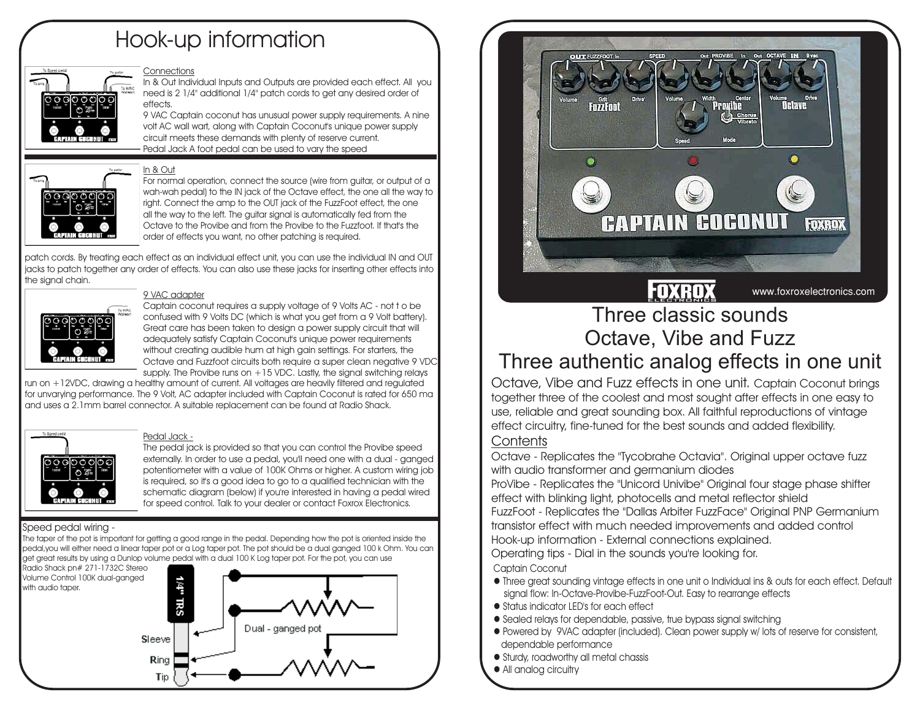# **Hook-up information**

### **ConnectionsIn & Out** Individual Inputs and Outputs are provided each effect. All you need is 2 1/4" additional 1/4" patch cords to get any desired order of effects.

**9 VAC**Captain coconut has unusual power supply requirements. A nine **Pedal Jack**A foot pedal can be used to vary the speed volt AC wall wart, along with Captain Coconut's unique power supply circuit meets these demands with plenty of reserve current.

For normal operation, connect the source (wire from guitar, or output of <sup>a</sup> wah-wah pedal) to the IN jack of the Octave effect, the one all the way to right. Connect the amp to the OUT jack of the FuzzFoot effect, the one all the way to the left. The guitar signal is automatically fed from the Octave to the Provibe and from the Provibe to the Fuzzfoot. If that's theorder of effects you want, no other patching is required.

patch cords. By treating each effect as an individual effect unit, you can use the individual IN and OUT jacks to patch together any order of effects. You can also use these jacks for inserting other effects into the signal chain.

Captain coconut requires <sup>a</sup> supply voltage of 9 Volts AC - not t <sup>o</sup> be confused with 9 Volts DC (which is what you get from <sup>a</sup> 9 Volt battery). Great care has been taken to design <sup>a</sup> power supply circuit that will adequately satisfy Captain Coconut's unique power requirements without creating audible hum at high gain settings. For starters, the Octave and Fuzzfoot circuits both require <sup>a</sup> super clean negative 9 VDC supply. The Provibe runs on  $+15$  VDC. Lastly, the signal switching relays

run on +12VDC, drawing <sup>a</sup> healthy amount of current. All voltages are heavily filtered and regulated for unvarying performance. The 9 Volt, AC adapter included with Captain Coconut is rated for 650 ma and uses <sup>a</sup> 2.1mm barrel connector. A suitable replacement can be found at Radio Shack.



## **Pedal Jack -**

**9 VAC adapter**

**In & Out**

The pedal jack is provided so that you can control the Provibe speed externally. In order to use a pedal, you'll need one with a dual - ganged potentiometer with <sup>a</sup> value of 100K Ohms or higher. A custom wiring job is required, so it's <sup>a</sup> good idea to go to <sup>a</sup> qualified technician with the schematic diagram (below) if you're interested in having <sup>a</sup> pedal wired for speed control. Talk to your dealer or contact Foxrox Electronics.

## **Speed pedal wiring -**

The taper of the pot is important for getting <sup>a</sup> good range in the pedal. Depending how the pot is oriented inside the pedal,you will either need <sup>a</sup> linear taper pot or <sup>a</sup> Log taper pot. The pot should be <sup>a</sup> dual ganged 100 k Ohm. You can get great results by using <sup>a</sup> Dunlop volume pedal with <sup>a</sup> dual 100 K Log taper pot. For the pot, you can use

**Radio Shack pn# 271-1732C Stereo Volume Control 100K dual-ganged with audio taper.**





# Three classic soundsOctave, Vibe and Fuzz

# Three authentic analog effects in one unit

**Octave, Vibe and Fuzz effects in one unit.** Captain Coconut brings together three of the coolest and most sought after effects in one easy to use, reliable and great sounding box. All faithful reproductions of vintage effect circuitry, fine-tuned for the best sounds and added flexibility.

# **Contents**

Octave - Replicates the "Tycobrahe Octavia". Original upper octave fuzz with audio transformer and germanium diodes

ProVibe - Replicates the "Unicord Univibe" Original four stage phase shifter effect with blinking light, photocells and metal reflector shield FuzzFoot - Replicates the "Dallas Arbiter FuzzFace" Original PNP Germanium transistor effect with much needed improvements and added control Hook-up information - External connections explained.

Operating tips - Dial in the sounds you're looking for. **Captain Coconut**

- Three great sounding vintage effects in one unit <sup>o</sup> Individual ins & outs for each effect. Default signal flow: In-Octave-Provibe-FuzzFoot-Out. Easy to rearrange effects
- $\bullet$  Status indicator LED's for each effect
- $\bullet$  Sealed relays for dependable, passive, true bypass signal switching
- $\bullet$  Powered by  $\,$  9VAC adapter (included). Clean power supply w/ lots of reserve for consistent, dependable performance
- $\bullet$  Sturdy, roadworthy all metal chassis
- All analog circuitry